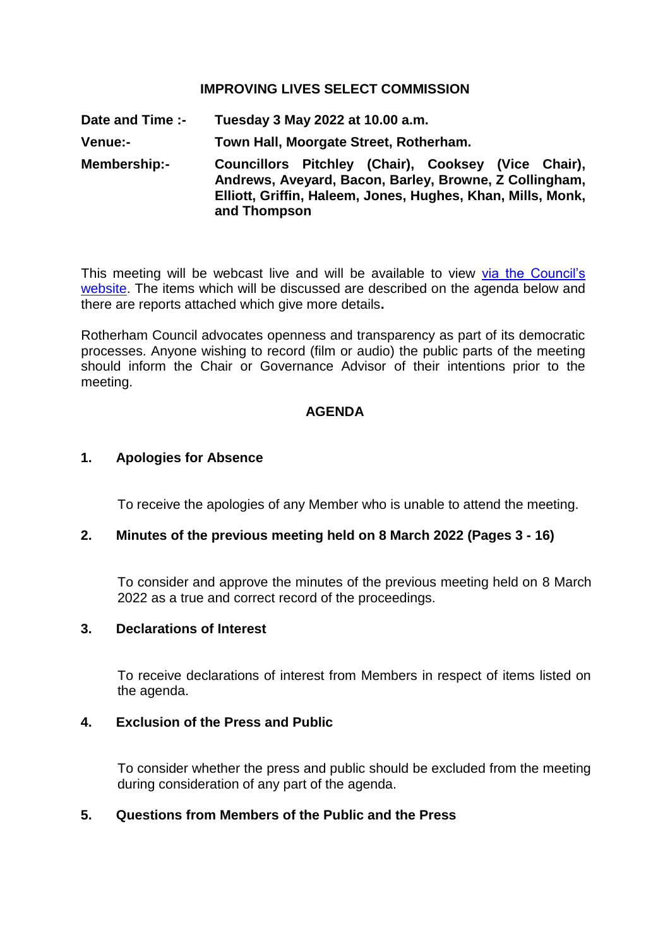# **IMPROVING LIVES SELECT COMMISSION**

**Date and Time :- Tuesday 3 May 2022 at 10.00 a.m. Venue:- Town Hall, Moorgate Street, Rotherham. Membership:- Councillors Pitchley (Chair), Cooksey (Vice Chair), Andrews, Aveyard, Bacon, Barley, Browne, Z Collingham, Elliott, Griffin, Haleem, Jones, Hughes, Khan, Mills, Monk, and Thompson**

This meeting will be webcast live and will be available to view via the Council's [website.](https://rotherham.public-i.tv/core/portal/home) The items which will be discussed are described on the agenda below and there are reports attached which give more details**.**

Rotherham Council advocates openness and transparency as part of its democratic processes. Anyone wishing to record (film or audio) the public parts of the meeting should inform the Chair or Governance Advisor of their intentions prior to the meeting.

#### **AGENDA**

#### **1. Apologies for Absence**

To receive the apologies of any Member who is unable to attend the meeting.

# **2. Minutes of the previous meeting held on 8 March 2022 (Pages 3 - 16)**

To consider and approve the minutes of the previous meeting held on 8 March 2022 as a true and correct record of the proceedings.

#### **3. Declarations of Interest**

To receive declarations of interest from Members in respect of items listed on the agenda.

# **4. Exclusion of the Press and Public**

To consider whether the press and public should be excluded from the meeting during consideration of any part of the agenda.

# **5. Questions from Members of the Public and the Press**